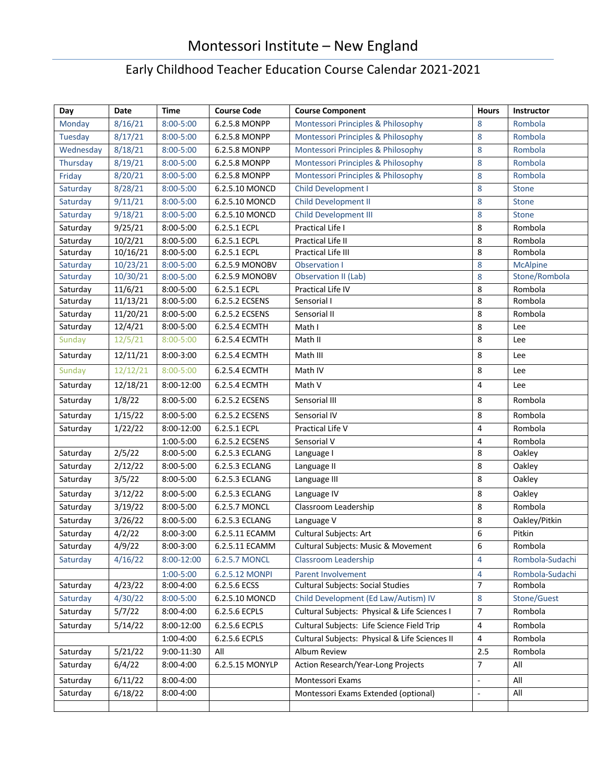## Montessori Institute – New England

## Early Childhood Teacher Education Course Calendar 2021-2021

| Day       | <b>Date</b> | <b>Time</b>   | <b>Course Code</b> | <b>Course Component</b>                        | <b>Hours</b>   | Instructor      |
|-----------|-------------|---------------|--------------------|------------------------------------------------|----------------|-----------------|
| Monday    | 8/16/21     | 8:00-5:00     | 6.2.5.8 MONPP      | Montessori Principles & Philosophy             | 8              | Rombola         |
| Tuesday   | 8/17/21     | $8:00 - 5:00$ | 6.2.5.8 MONPP      | Montessori Principles & Philosophy             | 8              | Rombola         |
| Wednesday | 8/18/21     | $8:00 - 5:00$ | 6.2.5.8 MONPP      | Montessori Principles & Philosophy             | 8              | Rombola         |
| Thursday  | 8/19/21     | $8:00 - 5:00$ | 6.2.5.8 MONPP      | Montessori Principles & Philosophy             | 8              | Rombola         |
| Friday    | 8/20/21     | $8:00 - 5:00$ | 6.2.5.8 MONPP      | Montessori Principles & Philosophy             | 8              | Rombola         |
| Saturday  | 8/28/21     | $8:00 - 5:00$ | 6.2.5.10 MONCD     | Child Development I                            | 8              | Stone           |
| Saturday  | 9/11/21     | $8:00 - 5:00$ | 6.2.5.10 MONCD     | Child Development II                           | 8              | Stone           |
| Saturday  | 9/18/21     | $8:00 - 5:00$ | 6.2.5.10 MONCD     | <b>Child Development III</b>                   | 8              | Stone           |
| Saturday  | 9/25/21     | $8:00 - 5:00$ | 6.2.5.1 ECPL       | Practical Life I                               | 8              | Rombola         |
| Saturday  | 10/2/21     | $8:00 - 5:00$ | 6.2.5.1 ECPL       | Practical Life II                              | 8              | Rombola         |
| Saturday  | 10/16/21    | 8:00-5:00     | 6.2.5.1 ECPL       | Practical Life III                             | 8              | Rombola         |
| Saturday  | 10/23/21    | $8:00 - 5:00$ | 6.2.5.9 MONOBV     | <b>Observation I</b>                           | 8              | <b>McAlpine</b> |
| Saturday  | 10/30/21    | $8:00 - 5:00$ | 6.2.5.9 MONOBV     | Observation II (Lab)                           | 8              | Stone/Rombola   |
| Saturday  | 11/6/21     | $8:00 - 5:00$ | 6.2.5.1 ECPL       | Practical Life IV                              | 8              | Rombola         |
| Saturday  | 11/13/21    | 8:00-5:00     | 6.2.5.2 ECSENS     | Sensorial I                                    | 8              | Rombola         |
| Saturday  | 11/20/21    | $8:00 - 5:00$ | 6.2.5.2 ECSENS     | Sensorial II                                   | 8              | Rombola         |
| Saturday  | 12/4/21     | $8:00 - 5:00$ | 6.2.5.4 ECMTH      | Math I                                         | 8              | Lee             |
| Sunday    | 12/5/21     | $8:00 - 5:00$ | 6.2.5.4 ECMTH      | Math II                                        | 8              | Lee             |
| Saturday  | 12/11/21    | $8:00 - 3:00$ | 6.2.5.4 ECMTH      | Math III                                       | 8              | Lee             |
| Sunday    | 12/12/21    | $8:00 - 5:00$ | 6.2.5.4 ECMTH      | Math IV                                        | 8              | Lee             |
| Saturday  | 12/18/21    | 8:00-12:00    | 6.2.5.4 ECMTH      | Math V                                         | 4              | Lee             |
| Saturday  | 1/8/22      | $8:00 - 5:00$ | 6.2.5.2 ECSENS     | Sensorial III                                  | 8              | Rombola         |
| Saturday  | 1/15/22     | $8:00 - 5:00$ | 6.2.5.2 ECSENS     | Sensorial IV                                   | 8              | Rombola         |
| Saturday  | 1/22/22     | 8:00-12:00    | 6.2.5.1 ECPL       | Practical Life V                               | $\overline{4}$ | Rombola         |
|           |             | 1:00-5:00     | 6.2.5.2 ECSENS     | Sensorial V                                    | 4              | Rombola         |
| Saturday  | 2/5/22      | $8:00 - 5:00$ | 6.2.5.3 ECLANG     | Language I                                     | 8              | Oakley          |
| Saturday  | 2/12/22     | 8:00-5:00     | 6.2.5.3 ECLANG     | Language II                                    | 8              | Oakley          |
| Saturday  | 3/5/22      | $8:00 - 5:00$ | 6.2.5.3 ECLANG     | Language III                                   | 8              | Oakley          |
| Saturday  | 3/12/22     | $8:00 - 5:00$ | 6.2.5.3 ECLANG     | Language IV                                    | 8              | Oakley          |
| Saturday  | 3/19/22     | 8:00-5:00     | 6.2.5.7 MONCL      | Classroom Leadership                           | 8              | Rombola         |
| Saturday  | 3/26/22     | $8:00 - 5:00$ | 6.2.5.3 ECLANG     | Language V                                     | 8              | Oakley/Pitkin   |
| Saturday  | 4/2/22      | $8:00 - 3:00$ | 6.2.5.11 ECAMM     | Cultural Subjects: Art                         | 6              | Pitkin          |
| Saturday  | 4/9/22      | 8:00-3:00     | 6.2.5.11 ECAMM     | Cultural Subjects: Music & Movement            | 6              | Rombola         |
| Saturday  | 4/16/22     | 8:00-12:00    | 6.2.5.7 MONCL      | Classroom Leadership                           | 4              | Rombola-Sudachi |
|           |             | $1:00 - 5:00$ | 6.2.5.12 MONPI     | Parent Involvement                             | 4              | Rombola-Sudachi |
| Saturday  | 4/23/22     | 8:00-4:00     | 6.2.5.6 ECSS       | <b>Cultural Subjects: Social Studies</b>       | $\overline{7}$ | Rombola         |
| Saturday  | 4/30/22     | 8:00-5:00     | 6.2.5.10 MONCD     | Child Development (Ed Law/Autism) IV           | 8              | Stone/Guest     |
| Saturday  | 5/7/22      | 8:00-4:00     | 6.2.5.6 ECPLS      | Cultural Subjects: Physical & Life Sciences I  | $\overline{7}$ | Rombola         |
| Saturday  | 5/14/22     | 8:00-12:00    | 6.2.5.6 ECPLS      | Cultural Subjects: Life Science Field Trip     | 4              | Rombola         |
|           |             | 1:00-4:00     | 6.2.5.6 ECPLS      | Cultural Subjects: Physical & Life Sciences II | 4              | Rombola         |
| Saturday  | 5/21/22     | 9:00-11:30    | All                | Album Review                                   | 2.5            | Rombola         |
| Saturday  | 6/4/22      | 8:00-4:00     | 6.2.5.15 MONYLP    | Action Research/Year-Long Projects             | $\overline{7}$ | All             |
| Saturday  | 6/11/22     | 8:00-4:00     |                    | Montessori Exams                               | $\blacksquare$ | All             |
| Saturday  | 6/18/22     | 8:00-4:00     |                    | Montessori Exams Extended (optional)           | $\blacksquare$ | All             |
|           |             |               |                    |                                                |                |                 |